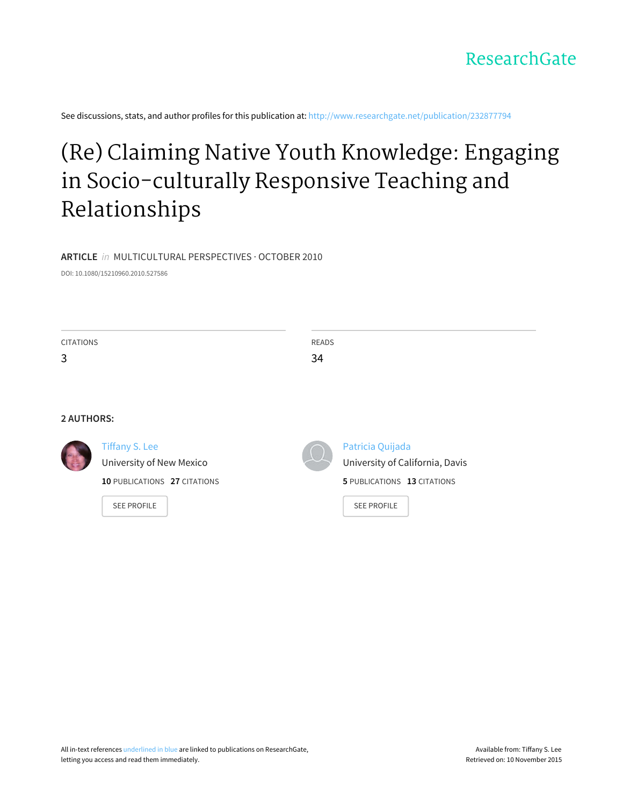See discussions, stats, and author profiles for this publication at: [http://www.researchgate.net/publication/232877794](http://www.researchgate.net/publication/232877794_%28Re%29_Claiming_Native_Youth_Knowledge_Engaging_in_Socio-culturally_Responsive_Teaching_and_Relationships?enrichId=rgreq-19ca3668-93d7-451f-abef-156e8b6cb511&enrichSource=Y292ZXJQYWdlOzIzMjg3Nzc5NDtBUzoyNjY3NDM1MjAxNjU4ODhAMTQ0MDYwODAxOTc0OA%3D%3D&el=1_x_2)

# (Re) Claiming Native Youth Knowledge: Engaging in [Socio-culturally](http://www.researchgate.net/publication/232877794_%28Re%29_Claiming_Native_Youth_Knowledge_Engaging_in_Socio-culturally_Responsive_Teaching_and_Relationships?enrichId=rgreq-19ca3668-93d7-451f-abef-156e8b6cb511&enrichSource=Y292ZXJQYWdlOzIzMjg3Nzc5NDtBUzoyNjY3NDM1MjAxNjU4ODhAMTQ0MDYwODAxOTc0OA%3D%3D&el=1_x_3) Responsive Teaching and Relationships

#### **ARTICLE** in MULTICULTURAL PERSPECTIVES · OCTOBER 2010

DOI: 10.1080/15210960.2010.527586

| <b>CITATIONS</b>  |                              | <b>READS</b> |                                 |
|-------------------|------------------------------|--------------|---------------------------------|
| 3                 |                              | 34           |                                 |
|                   |                              |              |                                 |
|                   |                              |              |                                 |
|                   |                              |              |                                 |
| <b>2 AUTHORS:</b> |                              |              |                                 |
|                   | <b>Tiffany S. Lee</b>        |              | Patricia Quijada                |
|                   | University of New Mexico     |              | University of California, Davis |
|                   | 10 PUBLICATIONS 27 CITATIONS |              | 5 PUBLICATIONS 13 CITATIONS     |
|                   |                              |              |                                 |
|                   | <b>SEE PROFILE</b>           |              | <b>SEE PROFILE</b>              |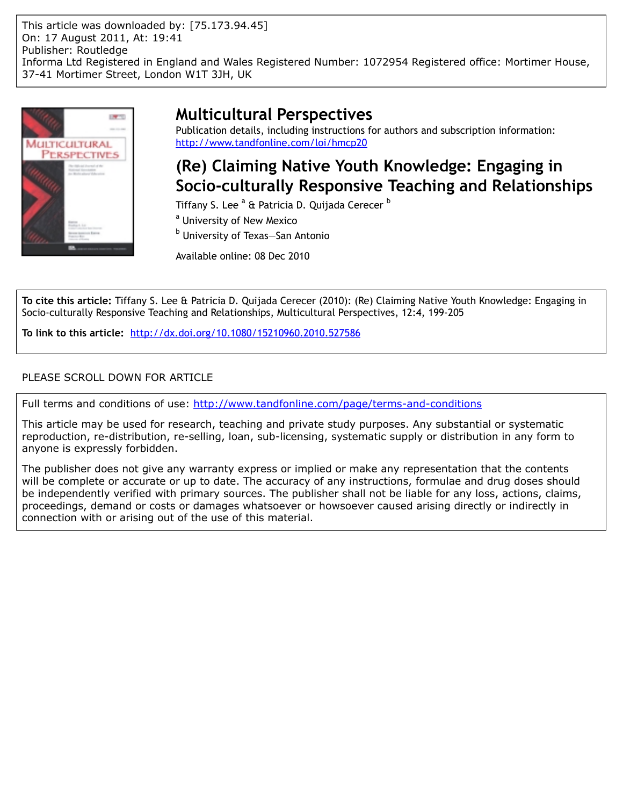This article was downloaded by: [75.173.94.45] On: 17 August 2011, At: 19:41 Publisher: Routledge Informa Ltd Registered in England and Wales Registered Number: 1072954 Registered office: Mortimer House, 37-41 Mortimer Street, London W1T 3JH, UK



### **Multicultural Perspectives**

Publication details, including instructions for authors and subscription information: <http://www.tandfonline.com/loi/hmcp20>

## **(Re) Claiming Native Youth Knowledge: Engaging in Socio-culturally Responsive Teaching and Relationships**

Tiffany S. Lee <sup>a</sup> & Patricia D. Quijada Cerecer <sup>b</sup>

<sup>a</sup> University of New Mexico

<sup>b</sup> University of Texas—San Antonio

Available online: 08 Dec 2010

**To cite this article:** Tiffany S. Lee & Patricia D. Quijada Cerecer (2010): (Re) Claiming Native Youth Knowledge: Engaging in Socio-culturally Responsive Teaching and Relationships, Multicultural Perspectives, 12:4, 199-205

**To link to this article:** <http://dx.doi.org/10.1080/15210960.2010.527586>

### PLEASE SCROLL DOWN FOR ARTICLE

Full terms and conditions of use:<http://www.tandfonline.com/page/terms-and-conditions>

This article may be used for research, teaching and private study purposes. Any substantial or systematic reproduction, re-distribution, re-selling, loan, sub-licensing, systematic supply or distribution in any form to anyone is expressly forbidden.

The publisher does not give any warranty express or implied or make any representation that the contents will be complete or accurate or up to date. The accuracy of any instructions, formulae and drug doses should be independently verified with primary sources. The publisher shall not be liable for any loss, actions, claims, proceedings, demand or costs or damages whatsoever or howsoever caused arising directly or indirectly in connection with or arising out of the use of this material.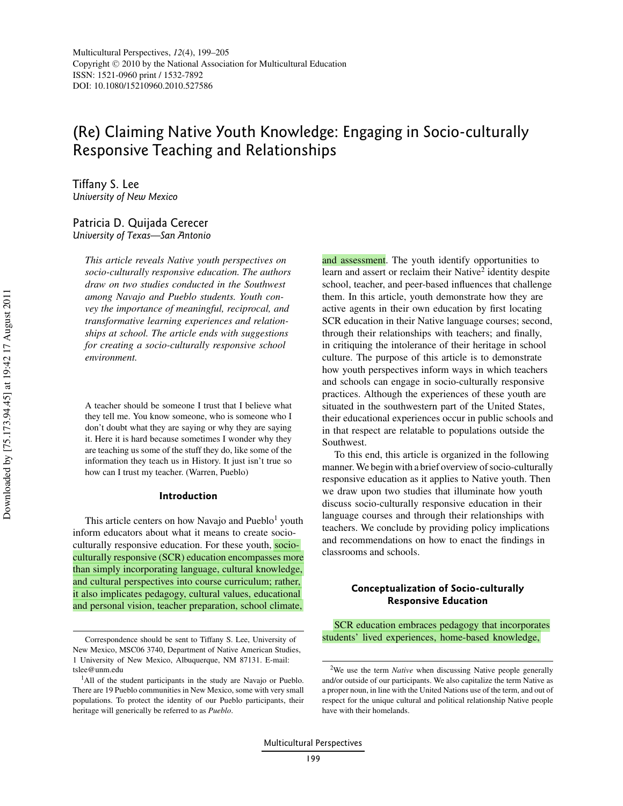### (Re) Claiming Native Youth Knowledge: Engaging in Socio-culturally Responsive Teaching and Relationships

Tiffany S. Lee *University of New Mexico*

#### Patricia D. Quijada Cerecer *University of Texas—San Antonio*

*This article reveals Native youth perspectives on socio-culturally responsive education. The authors draw on two studies conducted in the Southwest among Navajo and Pueblo students. Youth convey the importance of meaningful, reciprocal, and transformative learning experiences and relationships at school. The article ends with suggestions for creating a socio-culturally responsive school environment.*

A teacher should be someone I trust that I believe what they tell me. You know someone, who is someone who I don't doubt what they are saying or why they are saying it. Here it is hard because sometimes I wonder why they are teaching us some of the stuff they do, like some of the information they teach us in History. It just isn't true so how can I trust my teacher. (Warren, Pueblo)

#### **Introduction**

This article centers on how Navajo and Pueblo<sup>1</sup> youth inform educators about what it means to create socioculturally responsive education. For these youth, socioculturally responsive (SCR) education encompasses more than simply incorporating language, cultural knowledge, and cultural perspectives into course curriculum; rather, it also implicates pedagogy, cultural values, educational and personal vision, teacher preparation, school climate,

and assessment. The youth identify opportunities to learn and assert or reclaim their Native<sup>2</sup> identity despite school, teacher, and peer-based influences that challenge them. In this article, youth demonstrate how they are active agents in their own education by first locating SCR education in their Native language courses; second, through their relationships with teachers; and finally, in critiquing the intolerance of their heritage in school culture. The purpose of this article is to demonstrate how youth perspectives inform ways in which teachers and schools can engage in socio-culturally responsive practices. Although the experiences of these youth are situated in the southwestern part of the United States, their educational experiences occur in public schools and in that respect are relatable to populations outside the Southwest.

To this end, this article is organized in the following manner.We begin with a brief overview of socio-culturally responsive education as it applies to Native youth. Then we draw upon two studies that illuminate how youth discuss socio-culturally responsive education in their language courses and through their relationships with teachers. We conclude by providing policy implications and recommendations on how to enact the findings in classrooms and schools.

#### **Conceptualization of Socio-culturally Responsive Education**

SCR education embraces pedagogy that incorporates students' lived experiences, home-based knowledge,

Correspondence should be sent to Tiffany S. Lee, University of New Mexico, MSC06 3740, Department of Native American Studies, 1 University of New Mexico, Albuquerque, NM 87131. E-mail: tslee@unm.edu

<sup>&</sup>lt;sup>1</sup>All of the student participants in the study are Navajo or Pueblo. There are 19 Pueblo communities in New Mexico, some with very small populations. To protect the identity of our Pueblo participants, their heritage will generically be referred to as *Pueblo*.

<sup>2</sup>We use the term *Native* when discussing Native people generally and/or outside of our participants. We also capitalize the term Native as a proper noun, in line with the United Nations use of the term, and out of respect for the unique cultural and political relationship Native people have with their homelands.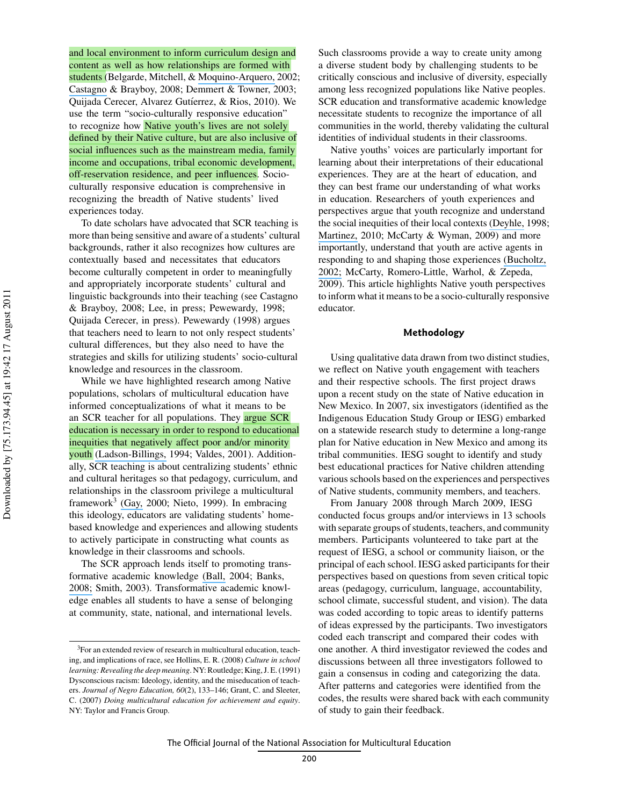and local environment to inform curriculum design and content as well as how relationships are formed with students (Belgarde, Mitchell, & [Moquino-Arquero,](https://www.researchgate.net/publication/234687986_A_Review_of_the_Research_Literature_on_the_Influences_of_Culturally_Based_Education_on_the_Academic_Performance_of_Native_American_Students._Final_Paper?el=1_x_8&enrichId=rgreq-19ca3668-93d7-451f-abef-156e8b6cb511&enrichSource=Y292ZXJQYWdlOzIzMjg3Nzc5NDtBUzoyNjY3NDM1MjAxNjU4ODhAMTQ0MDYwODAxOTc0OA==) 2002; [Castagno](https://www.researchgate.net/publication/234687986_A_Review_of_the_Research_Literature_on_the_Influences_of_Culturally_Based_Education_on_the_Academic_Performance_of_Native_American_Students._Final_Paper?el=1_x_8&enrichId=rgreq-19ca3668-93d7-451f-abef-156e8b6cb511&enrichSource=Y292ZXJQYWdlOzIzMjg3Nzc5NDtBUzoyNjY3NDM1MjAxNjU4ODhAMTQ0MDYwODAxOTc0OA==) & Brayboy, 2008; Demmert & Towner, 2003; Quijada Cerecer, Alvarez Gutíerrez, & Rios, 2010). We use the term "socio-culturally responsive education" to recognize how Native youth's lives are not solely defined by their Native culture, but are also inclusive of social influences such as the mainstream media, family income and occupations, tribal economic development, off-reservation residence, and peer influences. Socioculturally responsive education is comprehensive in recognizing the breadth of Native students' lived experiences today.

To date scholars have advocated that SCR teaching is more than being sensitive and aware of a students' cultural backgrounds, rather it also recognizes how cultures are contextually based and necessitates that educators become culturally competent in order to meaningfully and appropriately incorporate students' cultural and linguistic backgrounds into their teaching (see Castagno & Brayboy, 2008; Lee, in press; Pewewardy, 1998; Quijada Cerecer, in press). Pewewardy (1998) argues that teachers need to learn to not only respect students' cultural differences, but they also need to have the strategies and skills for utilizing students' socio-cultural knowledge and resources in the classroom.

While we have highlighted research among Native populations, scholars of multicultural education have informed conceptualizations of what it means to be an SCR teacher for all populations. They argue SCR education is necessary in order to respond to educational inequities that negatively affect poor and/or minority youth [\(Ladson-Billings,](https://www.researchgate.net/publication/247841948_The_Dream-Keepers_Successful_Teachers_of_African_Children?el=1_x_8&enrichId=rgreq-19ca3668-93d7-451f-abef-156e8b6cb511&enrichSource=Y292ZXJQYWdlOzIzMjg3Nzc5NDtBUzoyNjY3NDM1MjAxNjU4ODhAMTQ0MDYwODAxOTc0OA==) 1994; Valdes, 2001). Additionally, SCR teaching is about centralizing students' ethnic and cultural heritages so that pedagogy, curriculum, and relationships in the classroom privilege a multicultural framework<sup>3</sup> [\(Gay,](https://www.researchgate.net/publication/247924497_The_Light_in_Their_Eyes_Creating_Multicultural_Learning_Communities?el=1_x_8&enrichId=rgreq-19ca3668-93d7-451f-abef-156e8b6cb511&enrichSource=Y292ZXJQYWdlOzIzMjg3Nzc5NDtBUzoyNjY3NDM1MjAxNjU4ODhAMTQ0MDYwODAxOTc0OA==) 2000; Nieto, 1999). In embracing this ideology, educators are validating students' homebased knowledge and experiences and allowing students to actively participate in constructing what counts as knowledge in their classrooms and schools.

The SCR approach lends itself to promoting transformative academic knowledge [\(Ball,](https://www.researchgate.net/publication/236746490_As_if_Indigenous_Knowledge_and_Communities_Mattered_Transformative_Education_in_First_Nations_Communities_in_Canada?el=1_x_8&enrichId=rgreq-19ca3668-93d7-451f-abef-156e8b6cb511&enrichSource=Y292ZXJQYWdlOzIzMjg3Nzc5NDtBUzoyNjY3NDM1MjAxNjU4ODhAMTQ0MDYwODAxOTc0OA==) 2004; Banks, [2008;](https://www.researchgate.net/publication/236746490_As_if_Indigenous_Knowledge_and_Communities_Mattered_Transformative_Education_in_First_Nations_Communities_in_Canada?el=1_x_8&enrichId=rgreq-19ca3668-93d7-451f-abef-156e8b6cb511&enrichSource=Y292ZXJQYWdlOzIzMjg3Nzc5NDtBUzoyNjY3NDM1MjAxNjU4ODhAMTQ0MDYwODAxOTc0OA==) Smith, 2003). Transformative academic knowledge enables all students to have a sense of belonging at community, state, national, and international levels.

Such classrooms provide a way to create unity among a diverse student body by challenging students to be critically conscious and inclusive of diversity, especially among less recognized populations like Native peoples. SCR education and transformative academic knowledge necessitate students to recognize the importance of all communities in the world, thereby validating the cultural identities of individual students in their classrooms.

Native youths' voices are particularly important for learning about their interpretations of their educational experiences. They are at the heart of education, and they can best frame our understanding of what works in education. Researchers of youth experiences and perspectives argue that youth recognize and understand the social inequities of their local contexts [\(Deyhle,](https://www.researchgate.net/publication/258200636_From_Break_Dancing_to_Heavy_Metal_Navajo_Youth_Resistance_and_Identity?el=1_x_8&enrichId=rgreq-19ca3668-93d7-451f-abef-156e8b6cb511&enrichSource=Y292ZXJQYWdlOzIzMjg3Nzc5NDtBUzoyNjY3NDM1MjAxNjU4ODhAMTQ0MDYwODAxOTc0OA==) 1998; [Martinez,](https://www.researchgate.net/publication/258200636_From_Break_Dancing_to_Heavy_Metal_Navajo_Youth_Resistance_and_Identity?el=1_x_8&enrichId=rgreq-19ca3668-93d7-451f-abef-156e8b6cb511&enrichSource=Y292ZXJQYWdlOzIzMjg3Nzc5NDtBUzoyNjY3NDM1MjAxNjU4ODhAMTQ0MDYwODAxOTc0OA==) 2010; McCarty & Wyman, 2009) and more importantly, understand that youth are active agents in responding to and shaping those experiences [\(Bucholtz,](https://www.researchgate.net/publication/251335112_Youth_and_Cultural_Practice?el=1_x_8&enrichId=rgreq-19ca3668-93d7-451f-abef-156e8b6cb511&enrichSource=Y292ZXJQYWdlOzIzMjg3Nzc5NDtBUzoyNjY3NDM1MjAxNjU4ODhAMTQ0MDYwODAxOTc0OA==) [2002;](https://www.researchgate.net/publication/251335112_Youth_and_Cultural_Practice?el=1_x_8&enrichId=rgreq-19ca3668-93d7-451f-abef-156e8b6cb511&enrichSource=Y292ZXJQYWdlOzIzMjg3Nzc5NDtBUzoyNjY3NDM1MjAxNjU4ODhAMTQ0MDYwODAxOTc0OA==) McCarty, Romero-Little, Warhol, & Zepeda, 2009). This article highlights Native youth perspectives to inform what it means to be a socio-culturally responsive educator.

#### **Methodology**

Using qualitative data drawn from two distinct studies, we reflect on Native youth engagement with teachers and their respective schools. The first project draws upon a recent study on the state of Native education in New Mexico. In 2007, six investigators (identified as the Indigenous Education Study Group or IESG) embarked on a statewide research study to determine a long-range plan for Native education in New Mexico and among its tribal communities. IESG sought to identify and study best educational practices for Native children attending various schools based on the experiences and perspectives of Native students, community members, and teachers.

From January 2008 through March 2009, IESG conducted focus groups and/or interviews in 13 schools with separate groups of students, teachers, and community members. Participants volunteered to take part at the request of IESG, a school or community liaison, or the principal of each school. IESG asked participants for their perspectives based on questions from seven critical topic areas (pedagogy, curriculum, language, accountability, school climate, successful student, and vision). The data was coded according to topic areas to identify patterns of ideas expressed by the participants. Two investigators coded each transcript and compared their codes with one another. A third investigator reviewed the codes and discussions between all three investigators followed to gain a consensus in coding and categorizing the data. After patterns and categories were identified from the codes, the results were shared back with each community of study to gain their feedback.

The Official Journal of the National Association for Multicultural Education

<sup>&</sup>lt;sup>3</sup>For an extended review of research in multicultural education, teaching, and implications of race, see Hollins, E. R. (2008) *Culture in school learning: Revealing the deep meaning*. NY: Routledge; King, J. E. (1991) Dysconscious racism: Ideology, identity, and the miseducation of teachers. *Journal of Negro Education, 60*(2), 133–146; Grant, C. and Sleeter, C. (2007) *Doing multicultural education for achievement and equity*. NY: Taylor and Francis Group.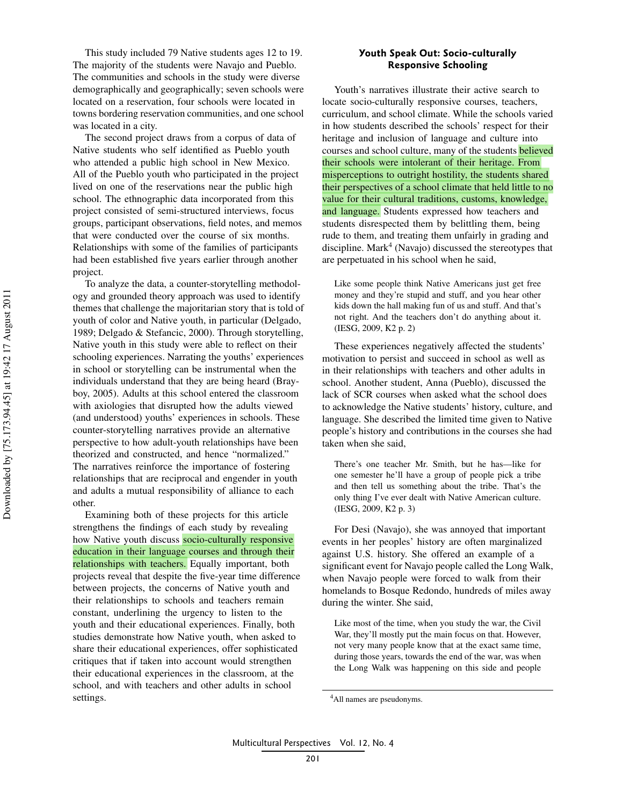This study included 79 Native students ages 12 to 19. The majority of the students were Navajo and Pueblo. The communities and schools in the study were diverse demographically and geographically; seven schools were located on a reservation, four schools were located in towns bordering reservation communities, and one school was located in a city.

The second project draws from a corpus of data of Native students who self identified as Pueblo youth who attended a public high school in New Mexico. All of the Pueblo youth who participated in the project lived on one of the reservations near the public high school. The ethnographic data incorporated from this project consisted of semi-structured interviews, focus groups, participant observations, field notes, and memos that were conducted over the course of six months. Relationships with some of the families of participants had been established five years earlier through another project.

To analyze the data, a counter-storytelling methodology and grounded theory approach was used to identify themes that challenge the majoritarian story that is told of youth of color and Native youth, in particular (Delgado, 1989; Delgado & Stefancic, 2000). Through storytelling, Native youth in this study were able to reflect on their schooling experiences. Narrating the youths' experiences in school or storytelling can be instrumental when the individuals understand that they are being heard (Brayboy, 2005). Adults at this school entered the classroom with axiologies that disrupted how the adults viewed (and understood) youths' experiences in schools. These counter-storytelling narratives provide an alternative perspective to how adult-youth relationships have been theorized and constructed, and hence "normalized." The narratives reinforce the importance of fostering relationships that are reciprocal and engender in youth and adults a mutual responsibility of alliance to each other.

Examining both of these projects for this article strengthens the findings of each study by revealing how Native youth discuss socio-culturally responsive education in their language courses and through their relationships with teachers. Equally important, both projects reveal that despite the five-year time difference between projects, the concerns of Native youth and their relationships to schools and teachers remain constant, underlining the urgency to listen to the youth and their educational experiences. Finally, both studies demonstrate how Native youth, when asked to share their educational experiences, offer sophisticated critiques that if taken into account would strengthen their educational experiences in the classroom, at the school, and with teachers and other adults in school settings.

#### **Youth Speak Out: Socio-culturally Responsive Schooling**

Youth's narratives illustrate their active search to locate socio-culturally responsive courses, teachers, curriculum, and school climate. While the schools varied in how students described the schools' respect for their heritage and inclusion of language and culture into courses and school culture, many of the students **believed** their schools were intolerant of their heritage. From misperceptions to outright hostility, the students shared their perspectives of a school climate that held little to no value for their cultural traditions, customs, knowledge, and language. Students expressed how teachers and students disrespected them by belittling them, being rude to them, and treating them unfairly in grading and discipline. Mark<sup>4</sup> (Navajo) discussed the stereotypes that are perpetuated in his school when he said,

Like some people think Native Americans just get free money and they're stupid and stuff, and you hear other kids down the hall making fun of us and stuff. And that's not right. And the teachers don't do anything about it. (IESG, 2009, K2 p. 2)

These experiences negatively affected the students' motivation to persist and succeed in school as well as in their relationships with teachers and other adults in school. Another student, Anna (Pueblo), discussed the lack of SCR courses when asked what the school does to acknowledge the Native students' history, culture, and language. She described the limited time given to Native people's history and contributions in the courses she had taken when she said,

There's one teacher Mr. Smith, but he has—like for one semester he'll have a group of people pick a tribe and then tell us something about the tribe. That's the only thing I've ever dealt with Native American culture. (IESG, 2009, K2 p. 3)

For Desi (Navajo), she was annoyed that important events in her peoples' history are often marginalized against U.S. history. She offered an example of a significant event for Navajo people called the Long Walk, when Navajo people were forced to walk from their homelands to Bosque Redondo, hundreds of miles away during the winter. She said,

Like most of the time, when you study the war, the Civil War, they'll mostly put the main focus on that. However, not very many people know that at the exact same time, during those years, towards the end of the war, was when the Long Walk was happening on this side and people

<sup>4</sup>All names are pseudonyms.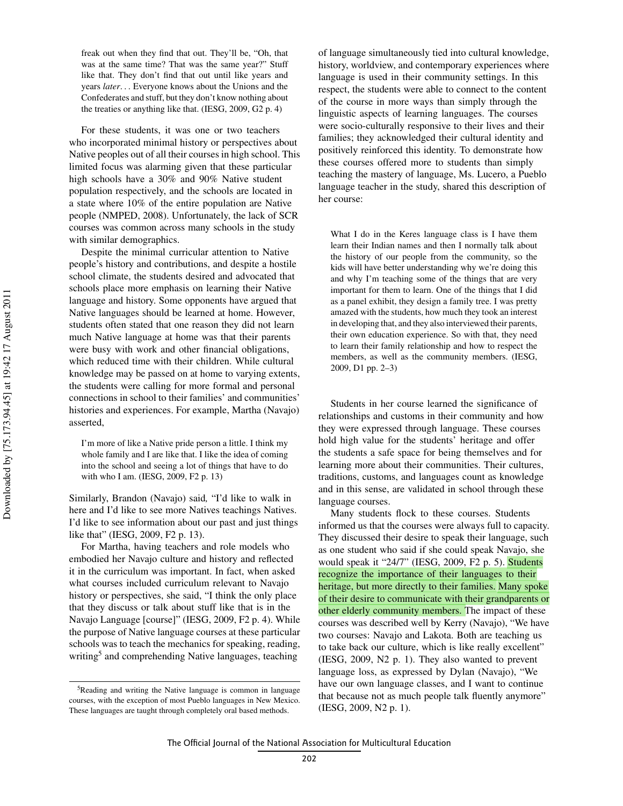freak out when they find that out. They'll be, "Oh, that was at the same time? That was the same year?" Stuff like that. They don't find that out until like years and years *later*... Everyone knows about the Unions and the Confederates and stuff, but they don't know nothing about the treaties or anything like that. (IESG, 2009, G2 p. 4)

For these students, it was one or two teachers who incorporated minimal history or perspectives about Native peoples out of all their courses in high school. This limited focus was alarming given that these particular high schools have a 30% and 90% Native student population respectively, and the schools are located in a state where 10% of the entire population are Native people (NMPED, 2008). Unfortunately, the lack of SCR courses was common across many schools in the study with similar demographics.

Despite the minimal curricular attention to Native people's history and contributions, and despite a hostile school climate, the students desired and advocated that schools place more emphasis on learning their Native language and history. Some opponents have argued that Native languages should be learned at home. However, students often stated that one reason they did not learn much Native language at home was that their parents were busy with work and other financial obligations, which reduced time with their children. While cultural knowledge may be passed on at home to varying extents, the students were calling for more formal and personal connections in school to their families' and communities' histories and experiences. For example, Martha (Navajo) asserted,

I'm more of like a Native pride person a little. I think my whole family and I are like that. I like the idea of coming into the school and seeing a lot of things that have to do with who I am. (IESG, 2009, F2 p. 13)

Similarly, Brandon (Navajo) said*,* "I'd like to walk in here and I'd like to see more Natives teachings Natives. I'd like to see information about our past and just things like that" (IESG, 2009, F2 p. 13).

For Martha, having teachers and role models who embodied her Navajo culture and history and reflected it in the curriculum was important. In fact, when asked what courses included curriculum relevant to Navajo history or perspectives, she said, "I think the only place that they discuss or talk about stuff like that is in the Navajo Language [course]" (IESG, 2009, F2 p. 4). While the purpose of Native language courses at these particular schools was to teach the mechanics for speaking, reading, writing<sup>5</sup> and comprehending Native languages, teaching

of language simultaneously tied into cultural knowledge, history, worldview, and contemporary experiences where language is used in their community settings. In this respect, the students were able to connect to the content of the course in more ways than simply through the linguistic aspects of learning languages. The courses were socio-culturally responsive to their lives and their families; they acknowledged their cultural identity and positively reinforced this identity. To demonstrate how these courses offered more to students than simply teaching the mastery of language, Ms. Lucero, a Pueblo language teacher in the study, shared this description of her course:

What I do in the Keres language class is I have them learn their Indian names and then I normally talk about the history of our people from the community, so the kids will have better understanding why we're doing this and why I'm teaching some of the things that are very important for them to learn. One of the things that I did as a panel exhibit, they design a family tree. I was pretty amazed with the students, how much they took an interest in developing that, and they also interviewed their parents, their own education experience. So with that, they need to learn their family relationship and how to respect the members, as well as the community members. (IESG, 2009, D1 pp. 2–3)

Students in her course learned the significance of relationships and customs in their community and how they were expressed through language. These courses hold high value for the students' heritage and offer the students a safe space for being themselves and for learning more about their communities. Their cultures, traditions, customs, and languages count as knowledge and in this sense, are validated in school through these language courses.

Many students flock to these courses. Students informed us that the courses were always full to capacity. They discussed their desire to speak their language, such as one student who said if she could speak Navajo, she would speak it "24/7" (IESG, 2009, F2 p. 5). Students recognize the importance of their languages to their heritage, but more directly to their families. Many spoke of their desire to communicate with their grandparents or other elderly community members. The impact of these courses was described well by Kerry (Navajo), "We have two courses: Navajo and Lakota. Both are teaching us to take back our culture, which is like really excellent" (IESG, 2009, N2 p. 1). They also wanted to prevent language loss, as expressed by Dylan (Navajo), "We have our own language classes, and I want to continue that because not as much people talk fluently anymore" (IESG, 2009, N2 p. 1).

The Official Journal of the National Association for Multicultural Education

<sup>5</sup>Reading and writing the Native language is common in language courses, with the exception of most Pueblo languages in New Mexico. These languages are taught through completely oral based methods.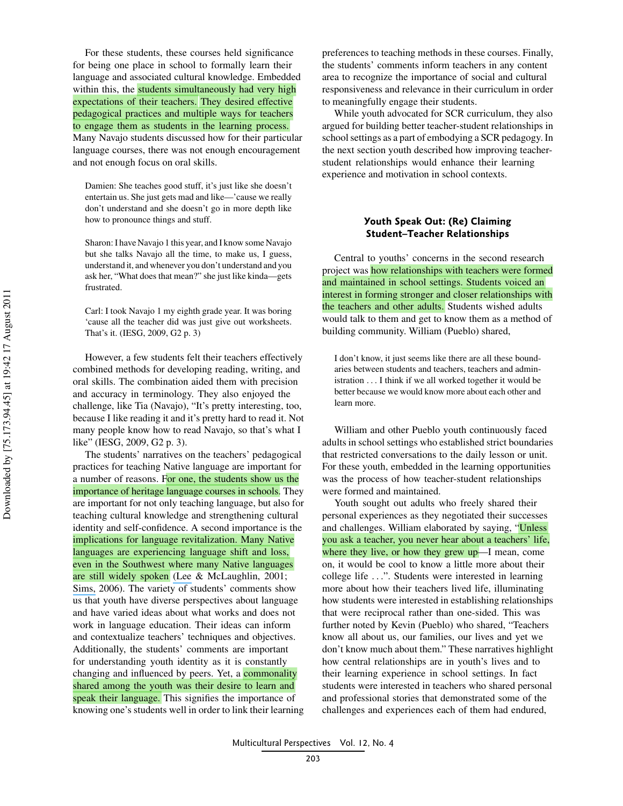For these students, these courses held significance for being one place in school to formally learn their language and associated cultural knowledge. Embedded within this, the students simultaneously had very high expectations of their teachers. They desired effective pedagogical practices and multiple ways for teachers to engage them as students in the learning process. Many Navajo students discussed how for their particular language courses, there was not enough encouragement and not enough focus on oral skills.

Damien: She teaches good stuff, it's just like she doesn't entertain us. She just gets mad and like—'cause we really don't understand and she doesn't go in more depth like how to pronounce things and stuff.

Sharon: I have Navajo 1 this year, and I know some Navajo but she talks Navajo all the time, to make us, I guess, understand it, and whenever you don't understand and you ask her, "What does that mean?" she just like kinda—gets frustrated.

Carl: I took Navajo 1 my eighth grade year. It was boring 'cause all the teacher did was just give out worksheets. That's it. (IESG, 2009, G2 p. 3)

However, a few students felt their teachers effectively combined methods for developing reading, writing, and oral skills. The combination aided them with precision and accuracy in terminology. They also enjoyed the challenge, like Tia (Navajo), "It's pretty interesting, too, because I like reading it and it's pretty hard to read it. Not many people know how to read Navajo, so that's what I like" (IESG, 2009, G2 p. 3).

The students' narratives on the teachers' pedagogical practices for teaching Native language are important for a number of reasons. For one, the students show us the importance of heritage language courses in schools. They are important for not only teaching language, but also for teaching cultural knowledge and strengthening cultural identity and self-confidence. A second importance is the implications for language revitalization. Many Native languages are experiencing language shift and loss, even in the Southwest where many Native languages are still widely spoken [\(Lee](https://www.researchgate.net/publication/238400743_Language_Planning_in_American_Indian_Pueblo_Communities_Contemporary_Challenges_and_Issues?el=1_x_8&enrichId=rgreq-19ca3668-93d7-451f-abef-156e8b6cb511&enrichSource=Y292ZXJQYWdlOzIzMjg3Nzc5NDtBUzoyNjY3NDM1MjAxNjU4ODhAMTQ0MDYwODAxOTc0OA==) & McLaughlin, 2001; [Sims,](https://www.researchgate.net/publication/238400743_Language_Planning_in_American_Indian_Pueblo_Communities_Contemporary_Challenges_and_Issues?el=1_x_8&enrichId=rgreq-19ca3668-93d7-451f-abef-156e8b6cb511&enrichSource=Y292ZXJQYWdlOzIzMjg3Nzc5NDtBUzoyNjY3NDM1MjAxNjU4ODhAMTQ0MDYwODAxOTc0OA==) 2006). The variety of students' comments show us that youth have diverse perspectives about language and have varied ideas about what works and does not work in language education. Their ideas can inform and contextualize teachers' techniques and objectives. Additionally, the students' comments are important for understanding youth identity as it is constantly changing and influenced by peers. Yet, a commonality shared among the youth was their desire to learn and speak their language. This signifies the importance of knowing one's students well in order to link their learning preferences to teaching methods in these courses. Finally, the students' comments inform teachers in any content area to recognize the importance of social and cultural responsiveness and relevance in their curriculum in order to meaningfully engage their students.

While youth advocated for SCR curriculum, they also argued for building better teacher-student relationships in school settings as a part of embodying a SCR pedagogy. In the next section youth described how improving teacherstudent relationships would enhance their learning experience and motivation in school contexts.

#### **Youth Speak Out: (Re) Claiming Student–Teacher Relationships**

Central to youths' concerns in the second research project was how relationships with teachers were formed and maintained in school settings. Students voiced an interest in forming stronger and closer relationships with the teachers and other adults. Students wished adults would talk to them and get to know them as a method of building community. William (Pueblo) shared,

I don't know, it just seems like there are all these boundaries between students and teachers, teachers and administration ... I think if we all worked together it would be better because we would know more about each other and learn more.

William and other Pueblo youth continuously faced adults in school settings who established strict boundaries that restricted conversations to the daily lesson or unit. For these youth, embedded in the learning opportunities was the process of how teacher-student relationships were formed and maintained.

Youth sought out adults who freely shared their personal experiences as they negotiated their successes and challenges. William elaborated by saying, "Unless you ask a teacher, you never hear about a teachers' life, where they live, or how they grew up—I mean, come on, it would be cool to know a little more about their college life ...". Students were interested in learning more about how their teachers lived life, illuminating how students were interested in establishing relationships that were reciprocal rather than one-sided. This was further noted by Kevin (Pueblo) who shared, "Teachers know all about us, our families, our lives and yet we don't know much about them." These narratives highlight how central relationships are in youth's lives and to their learning experience in school settings. In fact students were interested in teachers who shared personal and professional stories that demonstrated some of the challenges and experiences each of them had endured,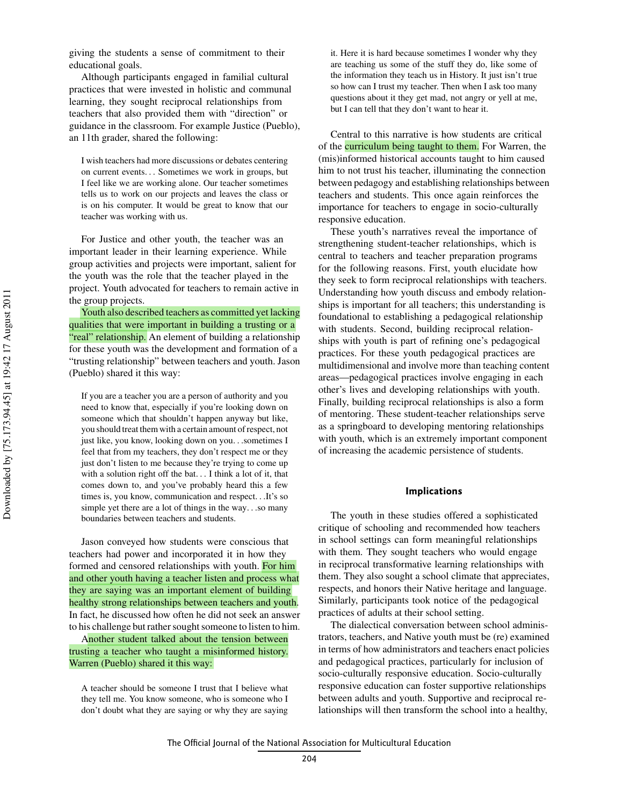giving the students a sense of commitment to their educational goals.

Although participants engaged in familial cultural practices that were invested in holistic and communal learning, they sought reciprocal relationships from teachers that also provided them with "direction" or guidance in the classroom. For example Justice (Pueblo), an 11th grader, shared the following:

I wish teachers had more discussions or debates centering on current events... Sometimes we work in groups, but I feel like we are working alone. Our teacher sometimes tells us to work on our projects and leaves the class or is on his computer. It would be great to know that our teacher was working with us.

For Justice and other youth, the teacher was an important leader in their learning experience. While group activities and projects were important, salient for the youth was the role that the teacher played in the project. Youth advocated for teachers to remain active in the group projects.

Youth also described teachers as committed yet lacking qualities that were important in building a trusting or a "real" relationship. An element of building a relationship for these youth was the development and formation of a "trusting relationship" between teachers and youth. Jason (Pueblo) shared it this way:

If you are a teacher you are a person of authority and you need to know that, especially if you're looking down on someone which that shouldn't happen anyway but like, you should treat them with a certain amount of respect, not just like, you know, looking down on you...sometimes I feel that from my teachers, they don't respect me or they just don't listen to me because they're trying to come up with a solution right off the bat... I think a lot of it, that comes down to, and you've probably heard this a few times is, you know, communication and respect...It's so simple yet there are a lot of things in the way...so many boundaries between teachers and students.

Jason conveyed how students were conscious that teachers had power and incorporated it in how they formed and censored relationships with youth. For him and other youth having a teacher listen and process what they are saying was an important element of building healthy strong relationships between teachers and youth. In fact, he discussed how often he did not seek an answer to his challenge but rather sought someone to listen to him.

Another student talked about the tension between trusting a teacher who taught a misinformed history. Warren (Pueblo) shared it this way:

A teacher should be someone I trust that I believe what they tell me. You know someone, who is someone who I don't doubt what they are saying or why they are saying it. Here it is hard because sometimes I wonder why they are teaching us some of the stuff they do, like some of the information they teach us in History. It just isn't true so how can I trust my teacher. Then when I ask too many questions about it they get mad, not angry or yell at me, but I can tell that they don't want to hear it.

Central to this narrative is how students are critical of the curriculum being taught to them. For Warren, the (mis)informed historical accounts taught to him caused him to not trust his teacher, illuminating the connection between pedagogy and establishing relationships between teachers and students. This once again reinforces the importance for teachers to engage in socio-culturally responsive education.

These youth's narratives reveal the importance of strengthening student-teacher relationships, which is central to teachers and teacher preparation programs for the following reasons. First, youth elucidate how they seek to form reciprocal relationships with teachers. Understanding how youth discuss and embody relationships is important for all teachers; this understanding is foundational to establishing a pedagogical relationship with students. Second, building reciprocal relationships with youth is part of refining one's pedagogical practices. For these youth pedagogical practices are multidimensional and involve more than teaching content areas—pedagogical practices involve engaging in each other's lives and developing relationships with youth. Finally, building reciprocal relationships is also a form of mentoring. These student-teacher relationships serve as a springboard to developing mentoring relationships with youth, which is an extremely important component of increasing the academic persistence of students.

#### **Implications**

The youth in these studies offered a sophisticated critique of schooling and recommended how teachers in school settings can form meaningful relationships with them. They sought teachers who would engage in reciprocal transformative learning relationships with them. They also sought a school climate that appreciates, respects, and honors their Native heritage and language. Similarly, participants took notice of the pedagogical practices of adults at their school setting.

The dialectical conversation between school administrators, teachers, and Native youth must be (re) examined in terms of how administrators and teachers enact policies and pedagogical practices, particularly for inclusion of socio-culturally responsive education. Socio-culturally responsive education can foster supportive relationships between adults and youth. Supportive and reciprocal relationships will then transform the school into a healthy,

The Official Journal of the National Association for Multicultural Education